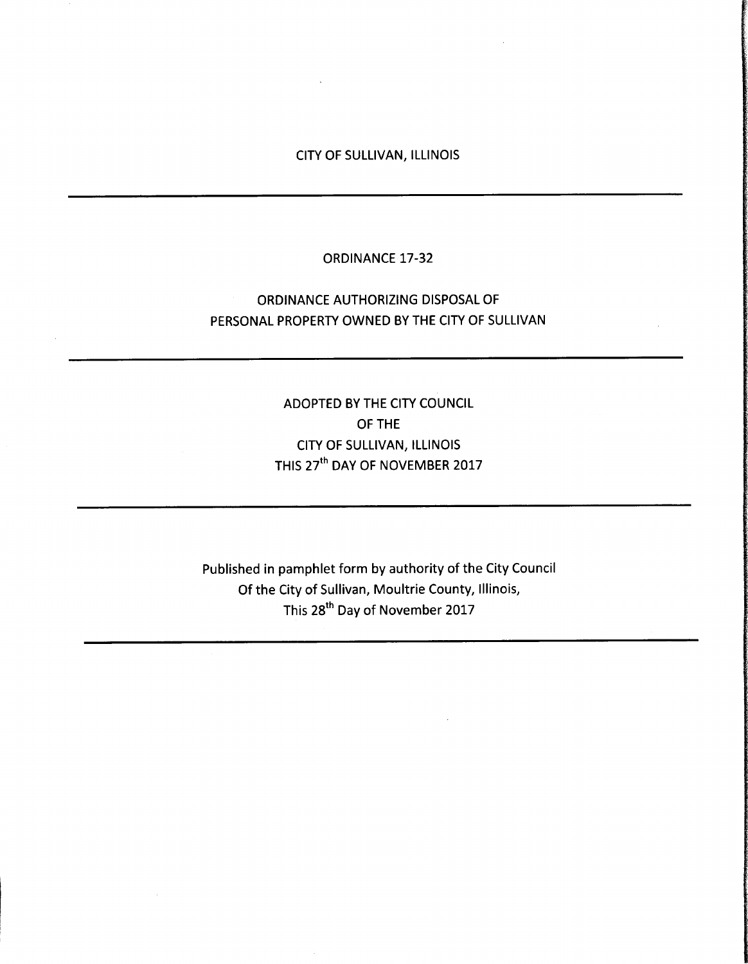### CITY OF SULLIVAN, ILLINOIS

### ORDINANCE 17-32

## ORDINANCE AUTHORIZING DISPOSAL OF PERSONAL PROPERTY OWNED BY THE CITY OF SULLIVAN

# ADOPTED BY THE CITY COUNCIL OF THE CITY OF SULLIVAN, ILLINOIS THIS 27<sup>th</sup> DAY OF NOVEMBER 2017

Published in pamphlet form by authority of the City Council Of the City of Sullivan, Moultrie County, Illinois, This 28<sup>th</sup> Day of November 2017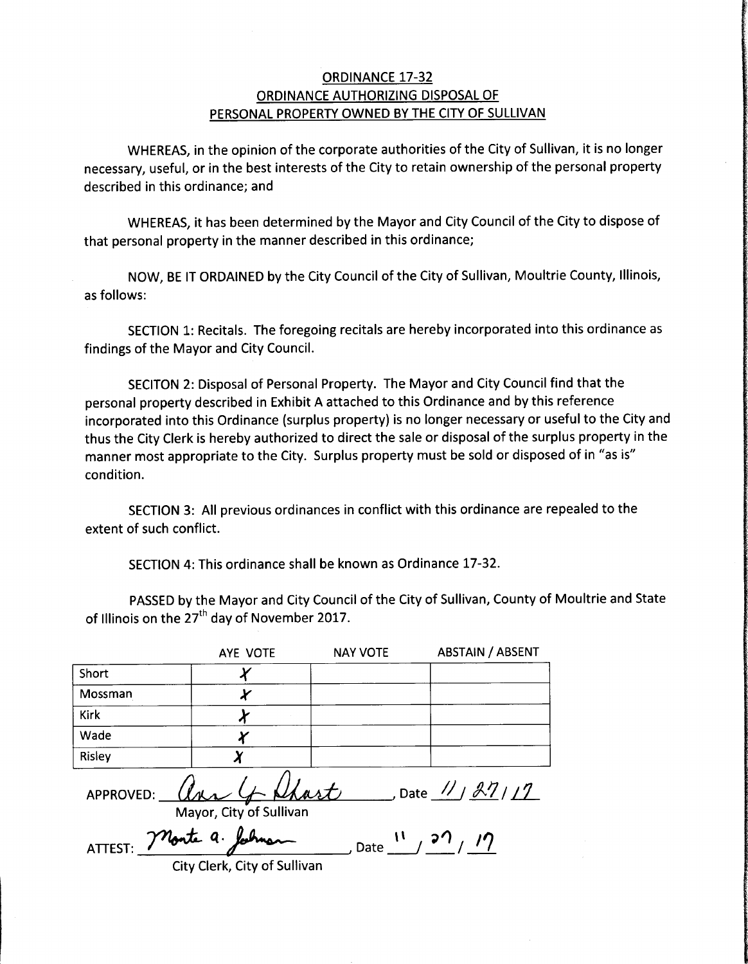### ORDINANCE 17-32 ORDINANCE AUTHORIZING DISPOSAL OF PERSONAL PROPERTY OWNED BY THE CITY OF SULLIVAN

WHEREAS, in the opinion of the corporate authorities of the City of Sullivan, it is no longer necessary, useful, or in the best interests of the City to retain ownership of the personal property described in this ordinance; and

WHEREAS, it has been determined by the Mayor and City Council of the City to dispose of that personal property in the manner described in this ordinance;

NOW, BE IT ORDAINED by the City Council of the City of Sullivan, Moultrie County, Illinois, as follows:

SECTION 1: Recitals. The foregoing recitals are hereby incorporated into this ordinance as findings of the Mayor and City Council.

SECITON 2: Disposal of Personal Property. The Mayor and City Council find that the personal property described in Exhibit A attached to this Ordinance and by this reference incorporated into this Ordinance (surplus property) is no longer necessary or useful to the City and thus the City Clerk is hereby authorized to direct the sale or disposal of the surplus property in the manner most appropriate to the City. Surplus property must be sold or disposed of in "as is" condition.

SECTION 3: All previous ordinances in conflict with this ordinance are repealed to the extent of such conflict.

SECTION 4: This ordinance shall be known as Ordinance 17-32.

PASSED by the Mayor and City Council of the City of Sullivan, County of Moultrie and State of Illinois on the 27<sup>th</sup> day of November 2017.

|                      | AYE VOTE                       | <b>NAY VOTE</b> | <b>ABSTAIN / ABSENT</b>         |
|----------------------|--------------------------------|-----------------|---------------------------------|
| Short                |                                |                 |                                 |
| Mossman              |                                |                 |                                 |
| Kirk                 |                                |                 |                                 |
| Wade                 |                                |                 |                                 |
| Risley               | v                              |                 |                                 |
| APPROVED:            | any<br>Mayor, City of Sullivan | Shart           | , Date $\frac{1}{\sqrt{27112}}$ |
| ATTEST: Monte a. let |                                | Date            |                                 |

City Clerk, City of Sullivan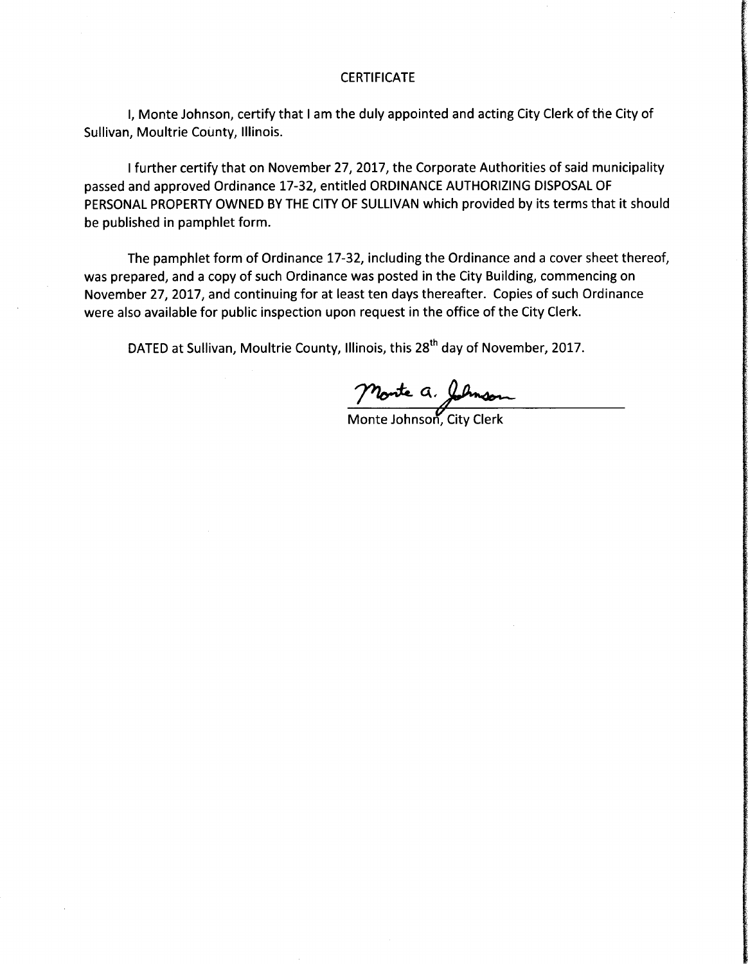#### **CERTIFICATE**

I, Monte Johnson, certify that <sup>I</sup> am the duly appointed and acting City Clerk of the City of Sullivan, Moultrie County, Illinois.

<sup>I</sup> further certify that on November 27, 2017, the Corporate Authorities of said municipality passed and approved Ordinance 17-32, entitled ORDINANCE AUTHORIZING DISPOSAL OF PERSONAL PROPERTY OWNED BY THE CITY OF SULLIVAN which provided by its terms that it should be published in pamphlet form.

The pamphlet form of Ordinance 17-32, including the Ordinance and a cover sheet thereof, was prepared, and <sup>a</sup> copy of such Ordinance was posted in the City Building, commencing on November 27, 2017, and continuing for at least ten days thereafter. Copies of such Ordinance were also available for public inspection upon request in the office of the City Clerk.

DATED at Sullivan, Moultrie County, Illinois, this 28<sup>th</sup> day of November, 2017.

Monte a. Johnson